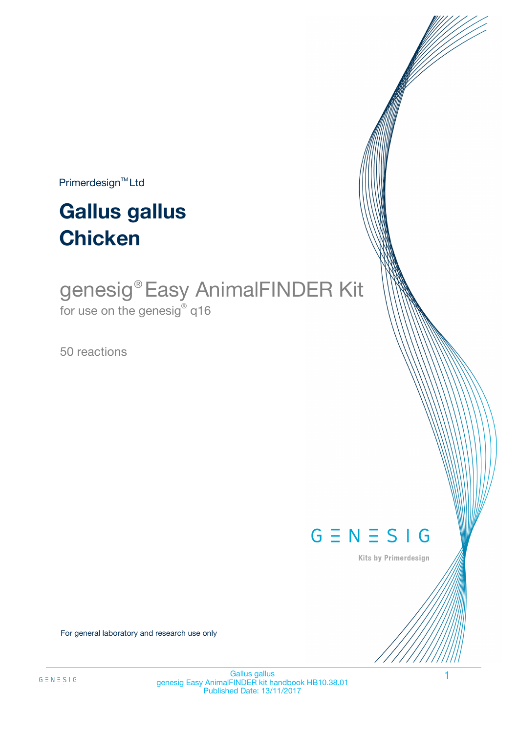$Primerdesign^{\text{TM}}Ltd$ 

# **Gallus gallus Chicken**

## genesig®Easy AnimalFINDER Kit for use on the genesig $^\circ$  q16

50 reactions



Kits by Primerdesign

For general laboratory and research use only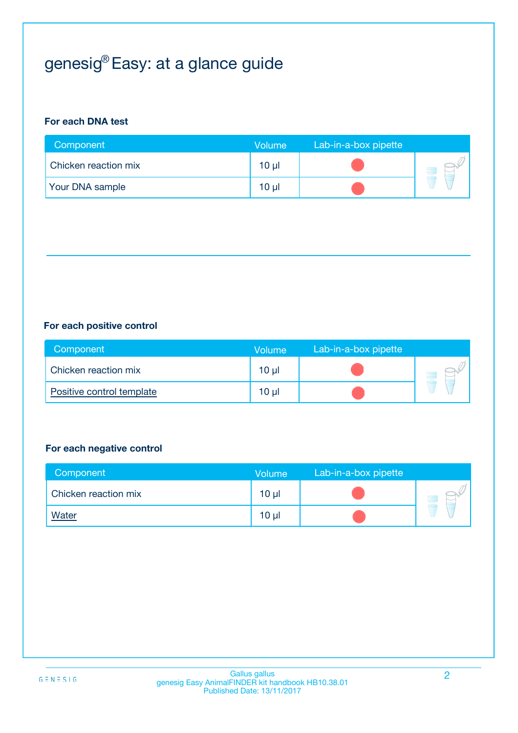## genesig $^{\circledR}$ Easy: at a glance guide

## **For each DNA test**

| Component              | <b>Volume</b> | Lab-in-a-box pipette |  |
|------------------------|---------------|----------------------|--|
| Chicken reaction mix   | 10 µl         |                      |  |
| <b>Your DNA sample</b> | 10 µl         |                      |  |

## **For each positive control**

| Component                 | Volume          | Lab-in-a-box pipette |  |
|---------------------------|-----------------|----------------------|--|
| Chicken reaction mix      | 10 <sub>µ</sub> |                      |  |
| Positive control template | $10 \mu$        |                      |  |

### **For each negative control**

| Component            | Volume          | Lab-in-a-box pipette |  |
|----------------------|-----------------|----------------------|--|
| Chicken reaction mix | 10 <sub>µ</sub> |                      |  |
| <b>Water</b>         | 10 <sub>µ</sub> |                      |  |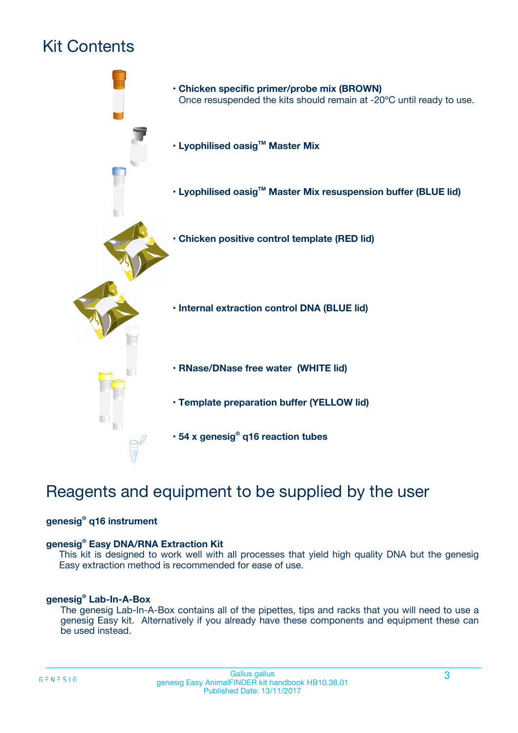## Kit Contents



## Reagents and equipment to be supplied by the user

## **genesig® q16 instrument**

### **genesig® Easy DNA/RNA Extraction Kit**

This kit is designed to work well with all processes that yield high quality DNA but the genesig Easy extraction method is recommended for ease of use.

### **genesig® Lab-In-A-Box**

The genesig Lab-In-A-Box contains all of the pipettes, tips and racks that you will need to use a genesig Easy kit. Alternatively if you already have these components and equipment these can be used instead.

 $G \equiv N \equiv S \mid G$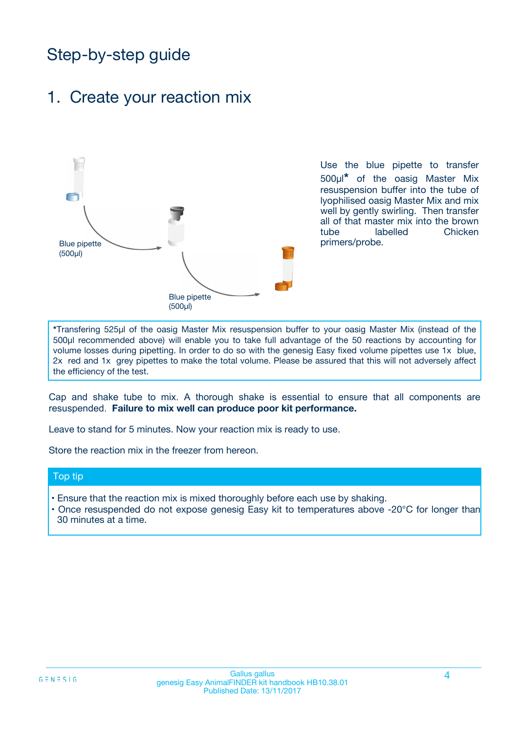## Step-by-step guide

## 1. Create your reaction mix



Use the blue pipette to transfer 500µl**\*** of the oasig Master Mix resuspension buffer into the tube of lyophilised oasig Master Mix and mix well by gently swirling. Then transfer all of that master mix into the brown tube labelled Chicken primers/probe.

**\***Transfering 525µl of the oasig Master Mix resuspension buffer to your oasig Master Mix (instead of the 500µl recommended above) will enable you to take full advantage of the 50 reactions by accounting for volume losses during pipetting. In order to do so with the genesig Easy fixed volume pipettes use 1x blue, 2x red and 1x grey pipettes to make the total volume. Please be assured that this will not adversely affect the efficiency of the test.

Cap and shake tube to mix. A thorough shake is essential to ensure that all components are resuspended. **Failure to mix well can produce poor kit performance.**

Leave to stand for 5 minutes. Now your reaction mix is ready to use.

Store the reaction mix in the freezer from hereon.

#### Top tip

- Ensure that the reaction mix is mixed thoroughly before each use by shaking.
- **•** Once resuspended do not expose genesig Easy kit to temperatures above -20°C for longer than 30 minutes at a time.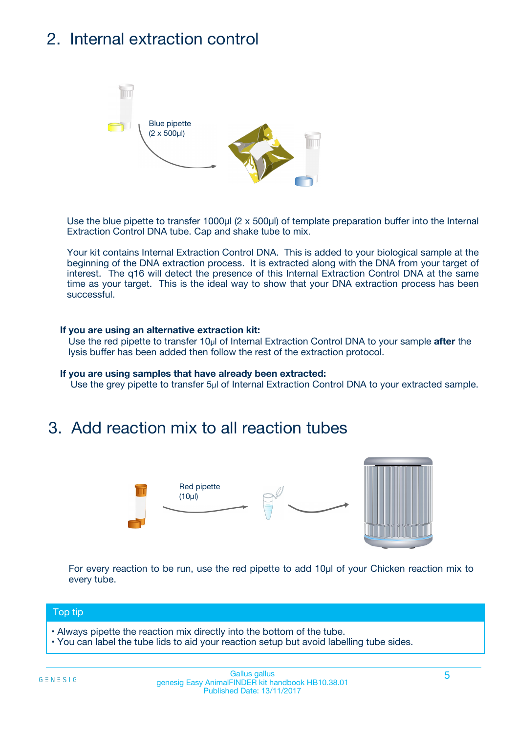## 2. Internal extraction control



Use the blue pipette to transfer 1000µl (2 x 500µl) of template preparation buffer into the Internal Extraction Control DNA tube. Cap and shake tube to mix.

Your kit contains Internal Extraction Control DNA. This is added to your biological sample at the beginning of the DNA extraction process. It is extracted along with the DNA from your target of interest. The q16 will detect the presence of this Internal Extraction Control DNA at the same time as your target. This is the ideal way to show that your DNA extraction process has been successful.

### **If you are using an alternative extraction kit:**

Use the red pipette to transfer 10µl of Internal Extraction Control DNA to your sample **after** the lysis buffer has been added then follow the rest of the extraction protocol.

#### **If you are using samples that have already been extracted:**

Use the grey pipette to transfer 5µl of Internal Extraction Control DNA to your extracted sample.

## 3. Add reaction mix to all reaction tubes



For every reaction to be run, use the red pipette to add 10µl of your Chicken reaction mix to every tube.

#### Top tip

- Always pipette the reaction mix directly into the bottom of the tube.
- You can label the tube lids to aid your reaction setup but avoid labelling tube sides.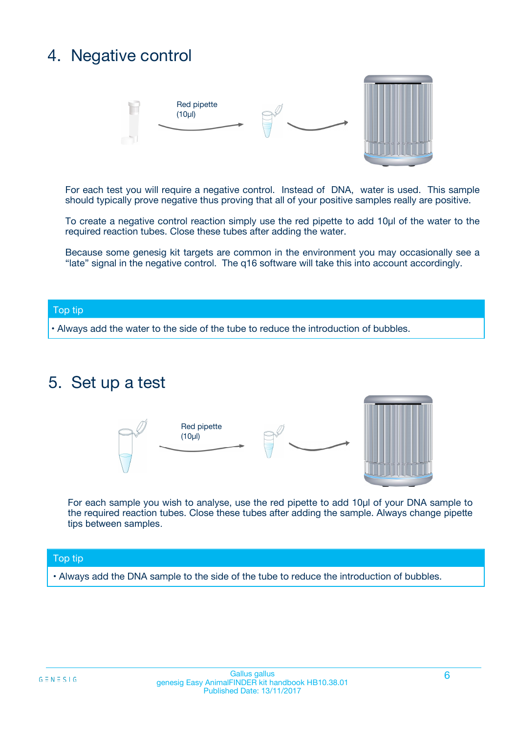## 4. Negative control



For each test you will require a negative control. Instead of DNA, water is used. This sample should typically prove negative thus proving that all of your positive samples really are positive.

To create a negative control reaction simply use the red pipette to add 10µl of the water to the required reaction tubes. Close these tubes after adding the water.

Because some genesig kit targets are common in the environment you may occasionally see a "late" signal in the negative control. The q16 software will take this into account accordingly.

#### Top tip

**•** Always add the water to the side of the tube to reduce the introduction of bubbles.

## 5. Set up a test



For each sample you wish to analyse, use the red pipette to add 10µl of your DNA sample to the required reaction tubes. Close these tubes after adding the sample. Always change pipette tips between samples.

### Top tip

**•** Always add the DNA sample to the side of the tube to reduce the introduction of bubbles.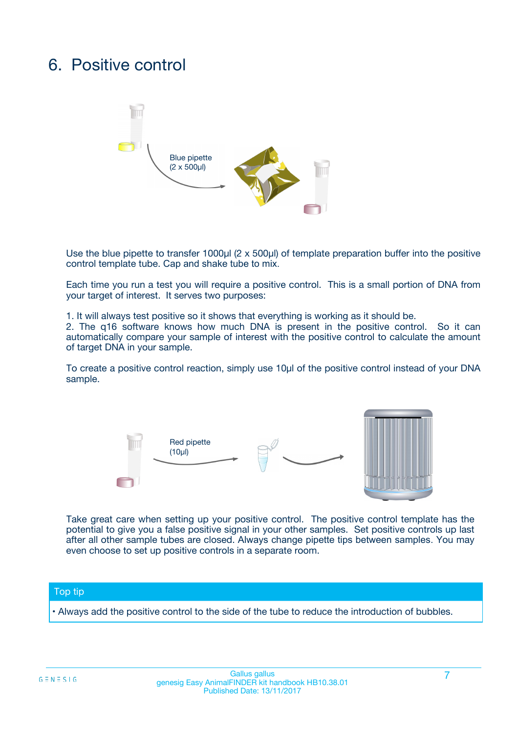## 6. Positive control



Use the blue pipette to transfer 1000µl (2 x 500µl) of template preparation buffer into the positive control template tube. Cap and shake tube to mix.

Each time you run a test you will require a positive control. This is a small portion of DNA from your target of interest. It serves two purposes:

1. It will always test positive so it shows that everything is working as it should be.

2. The q16 software knows how much DNA is present in the positive control. So it can automatically compare your sample of interest with the positive control to calculate the amount of target DNA in your sample.

To create a positive control reaction, simply use 10µl of the positive control instead of your DNA sample.



Take great care when setting up your positive control. The positive control template has the potential to give you a false positive signal in your other samples. Set positive controls up last after all other sample tubes are closed. Always change pipette tips between samples. You may even choose to set up positive controls in a separate room.

#### Top tip

**•** Always add the positive control to the side of the tube to reduce the introduction of bubbles.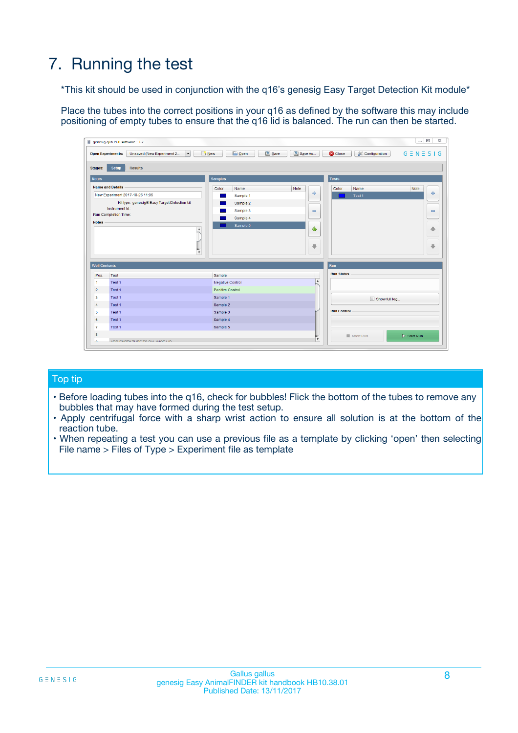## 7. Running the test

\*This kit should be used in conjunction with the q16's genesig Easy Target Detection Kit module\*

Place the tubes into the correct positions in your q16 as defined by the software this may include positioning of empty tubes to ensure that the q16 lid is balanced. The run can then be started.

|                      | genesig q16 PCR software - 1.2                                                    |                                            | $= 0$                                                                                   | $\Sigma$                     |
|----------------------|-----------------------------------------------------------------------------------|--------------------------------------------|-----------------------------------------------------------------------------------------|------------------------------|
|                      | Unsaved (New Experiment 2<br><b>Open Experiments:</b><br>$\overline{\phantom{a}}$ | <b>D</b> Open<br>Save<br>$\frac{1}{2}$ New | Save As<br><b>C</b> Close<br>$G \equiv N \equiv S \mid G$<br><b>&amp; Configuration</b> |                              |
| <b>Stages:</b>       | <b>Setup</b><br><b>Results</b>                                                    |                                            |                                                                                         |                              |
| <b>Notes</b>         |                                                                                   | <b>Samples</b>                             | <b>Tests</b>                                                                            |                              |
|                      | <b>Name and Details</b>                                                           | Color<br>Name                              | Note<br>Note<br>Color<br>Name                                                           |                              |
|                      | New Experiment 2017-10-26 11:06                                                   | Sample 1                                   | ÷<br>Test 1                                                                             | ÷                            |
|                      | Kit type: genesig® Easy Target Detection kit                                      | Sample 2                                   |                                                                                         |                              |
|                      | Instrument Id.:                                                                   | Sample 3                                   | $\equiv$                                                                                | $\qquad \qquad \blacksquare$ |
|                      | <b>Run Completion Time:</b>                                                       | Sample 4                                   |                                                                                         |                              |
| <b>Notes</b>         | <b>A</b>                                                                          | Sample 5                                   | ♦                                                                                       | 舎                            |
|                      |                                                                                   |                                            |                                                                                         |                              |
|                      |                                                                                   |                                            | a                                                                                       | a,                           |
|                      | V                                                                                 |                                            |                                                                                         |                              |
|                      |                                                                                   |                                            |                                                                                         |                              |
| <b>Well Contents</b> |                                                                                   |                                            | Run                                                                                     |                              |
| Pos.                 | Test                                                                              | Sample                                     | <b>Run Status</b>                                                                       |                              |
| 1                    | Test 1                                                                            | <b>Negative Control</b>                    | $\blacktriangle$                                                                        |                              |
| $\overline{2}$       | Test 1                                                                            | Positive Control                           |                                                                                         |                              |
| 3                    | Test 1                                                                            | Sample 1                                   | Show full log                                                                           |                              |
| $\overline{4}$       | Test 1                                                                            | Sample 2                                   |                                                                                         |                              |
| 5                    | Test 1                                                                            | Sample 3                                   | <b>Run Control</b>                                                                      |                              |
| 6                    | Test 1                                                                            | Sample 4                                   |                                                                                         |                              |
| 7                    | Test 1                                                                            | Sample 5                                   |                                                                                         |                              |
| 8                    |                                                                                   |                                            | $\triangleright$ Start Run<br>Abort Run                                                 |                              |
|                      |                                                                                   |                                            | $\overline{\mathbf v}$                                                                  |                              |

## Top tip

- Before loading tubes into the q16, check for bubbles! Flick the bottom of the tubes to remove any bubbles that may have formed during the test setup.
- Apply centrifugal force with a sharp wrist action to ensure all solution is at the bottom of the reaction tube.
- When repeating a test you can use a previous file as a template by clicking 'open' then selecting File name > Files of Type > Experiment file as template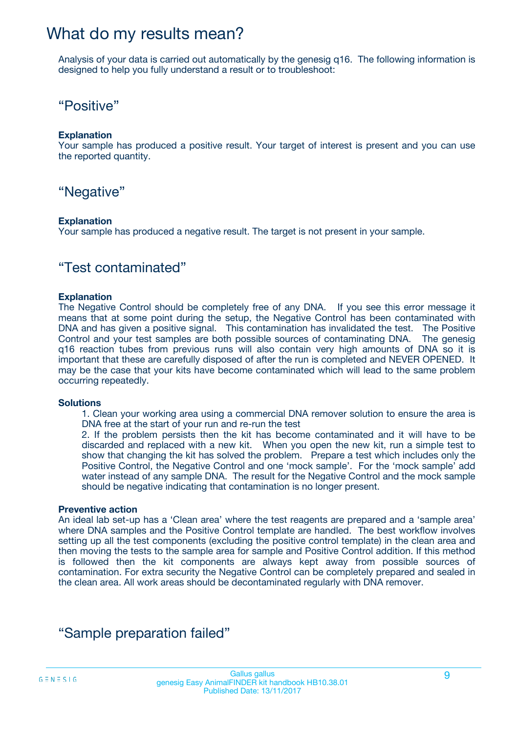## What do my results mean?

Analysis of your data is carried out automatically by the genesig q16. The following information is designed to help you fully understand a result or to troubleshoot:

## "Positive"

### **Explanation**

Your sample has produced a positive result. Your target of interest is present and you can use the reported quantity.

"Negative"

### **Explanation**

Your sample has produced a negative result. The target is not present in your sample.

## "Test contaminated"

### **Explanation**

The Negative Control should be completely free of any DNA. If you see this error message it means that at some point during the setup, the Negative Control has been contaminated with DNA and has given a positive signal. This contamination has invalidated the test. The Positive Control and your test samples are both possible sources of contaminating DNA. The genesig q16 reaction tubes from previous runs will also contain very high amounts of DNA so it is important that these are carefully disposed of after the run is completed and NEVER OPENED. It may be the case that your kits have become contaminated which will lead to the same problem occurring repeatedly.

### **Solutions**

1. Clean your working area using a commercial DNA remover solution to ensure the area is DNA free at the start of your run and re-run the test

2. If the problem persists then the kit has become contaminated and it will have to be discarded and replaced with a new kit. When you open the new kit, run a simple test to show that changing the kit has solved the problem. Prepare a test which includes only the Positive Control, the Negative Control and one 'mock sample'. For the 'mock sample' add water instead of any sample DNA. The result for the Negative Control and the mock sample should be negative indicating that contamination is no longer present.

### **Preventive action**

An ideal lab set-up has a 'Clean area' where the test reagents are prepared and a 'sample area' where DNA samples and the Positive Control template are handled. The best workflow involves setting up all the test components (excluding the positive control template) in the clean area and then moving the tests to the sample area for sample and Positive Control addition. If this method is followed then the kit components are always kept away from possible sources of contamination. For extra security the Negative Control can be completely prepared and sealed in the clean area. All work areas should be decontaminated regularly with DNA remover.

## "Sample preparation failed"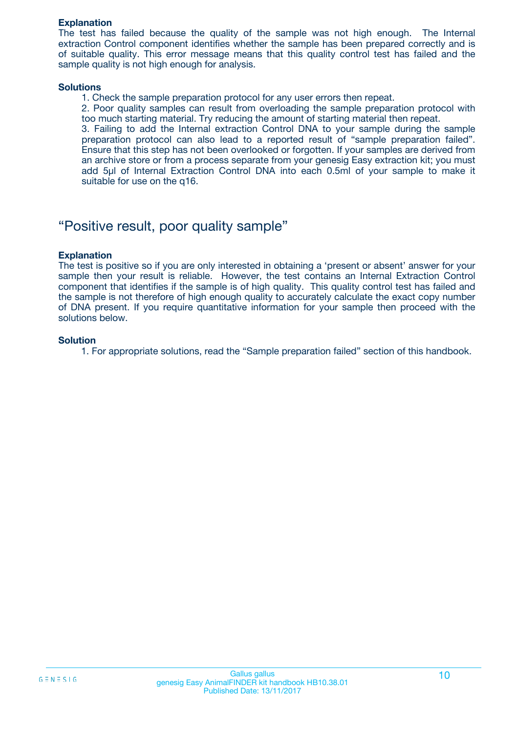### **Explanation**

The test has failed because the quality of the sample was not high enough. The Internal extraction Control component identifies whether the sample has been prepared correctly and is of suitable quality. This error message means that this quality control test has failed and the sample quality is not high enough for analysis.

#### **Solutions**

- 1. Check the sample preparation protocol for any user errors then repeat.
- 2. Poor quality samples can result from overloading the sample preparation protocol with too much starting material. Try reducing the amount of starting material then repeat.

3. Failing to add the Internal extraction Control DNA to your sample during the sample preparation protocol can also lead to a reported result of "sample preparation failed". Ensure that this step has not been overlooked or forgotten. If your samples are derived from an archive store or from a process separate from your genesig Easy extraction kit; you must add 5µl of Internal Extraction Control DNA into each 0.5ml of your sample to make it suitable for use on the q16.

## "Positive result, poor quality sample"

### **Explanation**

The test is positive so if you are only interested in obtaining a 'present or absent' answer for your sample then your result is reliable. However, the test contains an Internal Extraction Control component that identifies if the sample is of high quality. This quality control test has failed and the sample is not therefore of high enough quality to accurately calculate the exact copy number of DNA present. If you require quantitative information for your sample then proceed with the solutions below.

### **Solution**

1. For appropriate solutions, read the "Sample preparation failed" section of this handbook.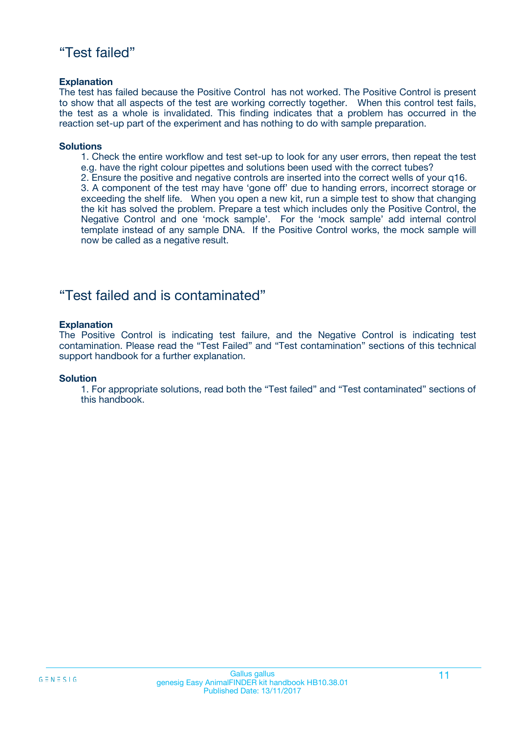## "Test failed"

### **Explanation**

The test has failed because the Positive Control has not worked. The Positive Control is present to show that all aspects of the test are working correctly together. When this control test fails, the test as a whole is invalidated. This finding indicates that a problem has occurred in the reaction set-up part of the experiment and has nothing to do with sample preparation.

### **Solutions**

- 1. Check the entire workflow and test set-up to look for any user errors, then repeat the test e.g. have the right colour pipettes and solutions been used with the correct tubes?
- 2. Ensure the positive and negative controls are inserted into the correct wells of your q16.

3. A component of the test may have 'gone off' due to handing errors, incorrect storage or exceeding the shelf life. When you open a new kit, run a simple test to show that changing the kit has solved the problem. Prepare a test which includes only the Positive Control, the Negative Control and one 'mock sample'. For the 'mock sample' add internal control template instead of any sample DNA. If the Positive Control works, the mock sample will now be called as a negative result.

## "Test failed and is contaminated"

### **Explanation**

The Positive Control is indicating test failure, and the Negative Control is indicating test contamination. Please read the "Test Failed" and "Test contamination" sections of this technical support handbook for a further explanation.

### **Solution**

1. For appropriate solutions, read both the "Test failed" and "Test contaminated" sections of this handbook.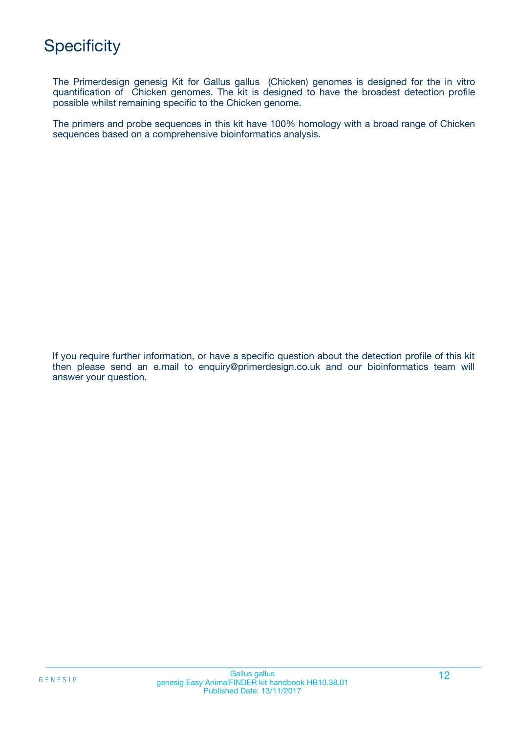## **Specificity**

The Primerdesign genesig Kit for Gallus gallus (Chicken) genomes is designed for the in vitro quantification of Chicken genomes. The kit is designed to have the broadest detection profile possible whilst remaining specific to the Chicken genome.

The primers and probe sequences in this kit have 100% homology with a broad range of Chicken sequences based on a comprehensive bioinformatics analysis.

If you require further information, or have a specific question about the detection profile of this kit then please send an e.mail to enquiry@primerdesign.co.uk and our bioinformatics team will answer your question.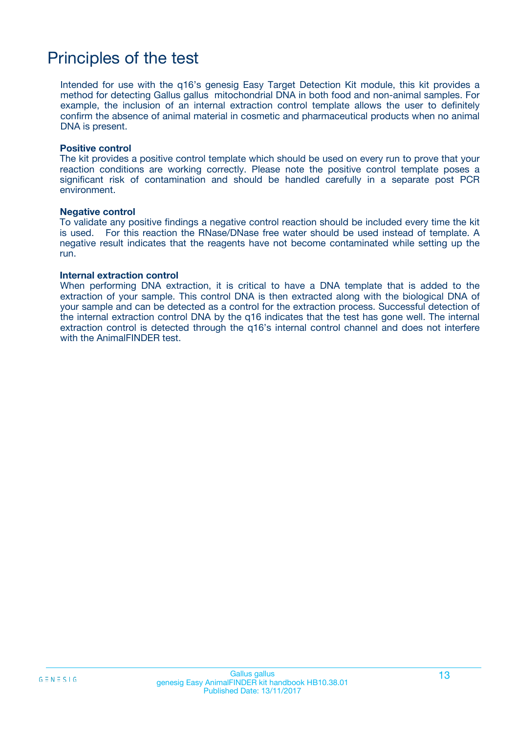## Principles of the test

Intended for use with the q16's genesig Easy Target Detection Kit module, this kit provides a method for detecting Gallus gallus mitochondrial DNA in both food and non-animal samples. For example, the inclusion of an internal extraction control template allows the user to definitely confirm the absence of animal material in cosmetic and pharmaceutical products when no animal DNA is present.

#### **Positive control**

The kit provides a positive control template which should be used on every run to prove that your reaction conditions are working correctly. Please note the positive control template poses a significant risk of contamination and should be handled carefully in a separate post PCR environment.

#### **Negative control**

To validate any positive findings a negative control reaction should be included every time the kit is used. For this reaction the RNase/DNase free water should be used instead of template. A negative result indicates that the reagents have not become contaminated while setting up the run.

#### **Internal extraction control**

When performing DNA extraction, it is critical to have a DNA template that is added to the extraction of your sample. This control DNA is then extracted along with the biological DNA of your sample and can be detected as a control for the extraction process. Successful detection of the internal extraction control DNA by the q16 indicates that the test has gone well. The internal extraction control is detected through the q16's internal control channel and does not interfere with the AnimalFINDER test.